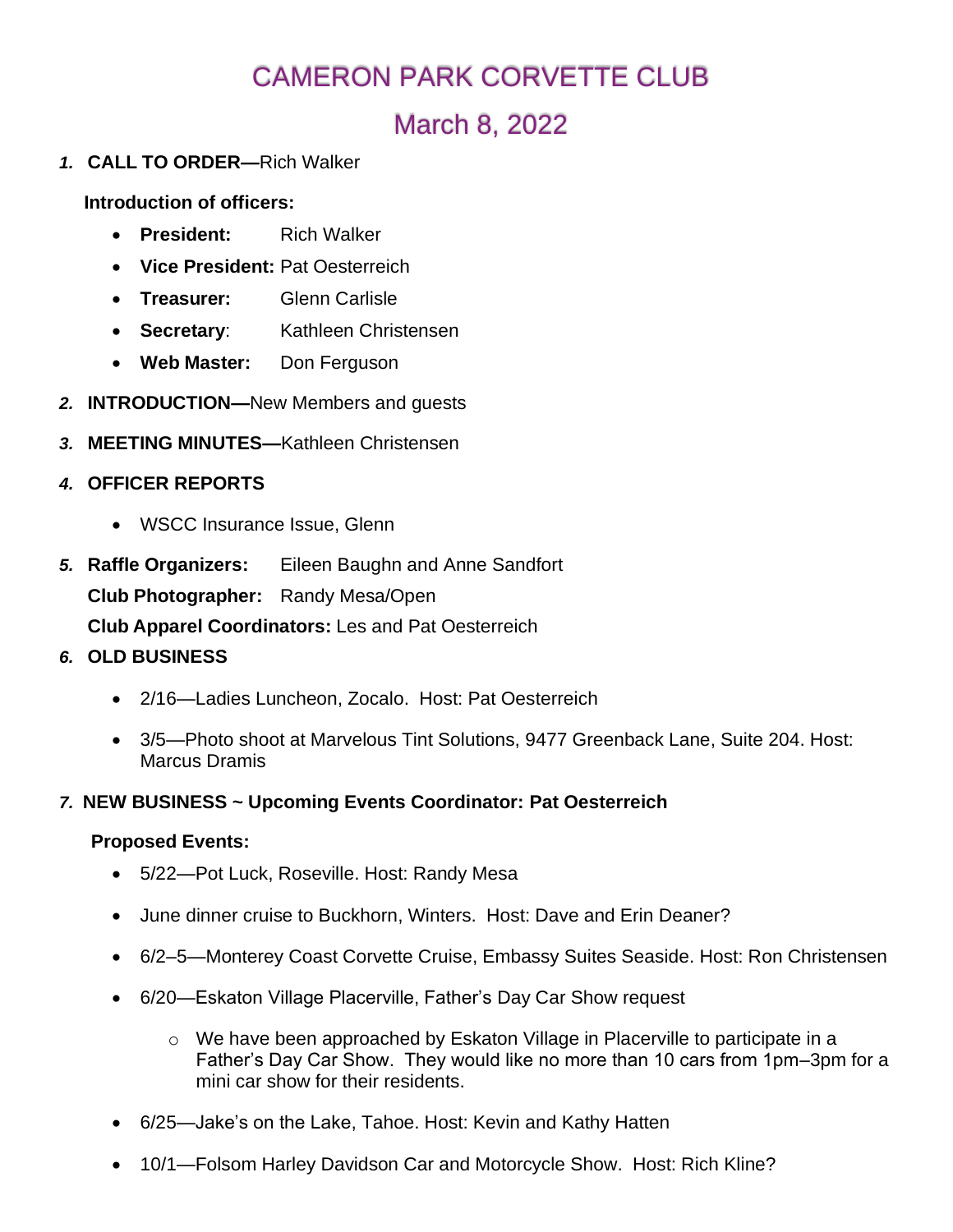# CAMERON PARK CORVETTE CLUB

# March 8, 2022

*1.* **CALL TO ORDER—**Rich Walker

**Introduction of officers:**

- **President:** Rich Walker
- **Vice President:** Pat Oesterreich
- **Treasurer:** Glenn Carlisle
- **Secretary**: Kathleen Christensen
- **Web Master:** Don Ferguson
- *2.* **INTRODUCTION—**New Members and guests
- *3.* **MEETING MINUTES—**Kathleen Christensen
- *4.* **OFFICER REPORTS**
	- WSCC Insurance Issue, Glenn
- *5.* **Raffle Organizers:** Eileen Baughn and Anne Sandfort **Club Photographer:** Randy Mesa/Open **Club Apparel Coordinators:** Les and Pat Oesterreich
- *6.* **OLD BUSINESS**
	- 2/16—Ladies Luncheon, Zocalo. Host: Pat Oesterreich
	- 3/5—Photo shoot at Marvelous Tint Solutions, 9477 Greenback Lane, Suite 204. Host: Marcus Dramis
- *7.* **NEW BUSINESS ~ Upcoming Events Coordinator: Pat Oesterreich**

#### **Proposed Events:**

- 5/22—Pot Luck, Roseville. Host: Randy Mesa
- June dinner cruise to Buckhorn, Winters. Host: Dave and Erin Deaner?
- 6/2–5—Monterey Coast Corvette Cruise, Embassy Suites Seaside. Host: Ron Christensen
- 6/20—Eskaton Village Placerville, Father's Day Car Show request
	- $\circ$  We have been approached by Eskaton Village in Placerville to participate in a Father's Day Car Show. They would like no more than 10 cars from 1pm–3pm for a mini car show for their residents.
- 6/25—Jake's on the Lake, Tahoe. Host: Kevin and Kathy Hatten
- 10/1—Folsom Harley Davidson Car and Motorcycle Show. Host: Rich Kline?